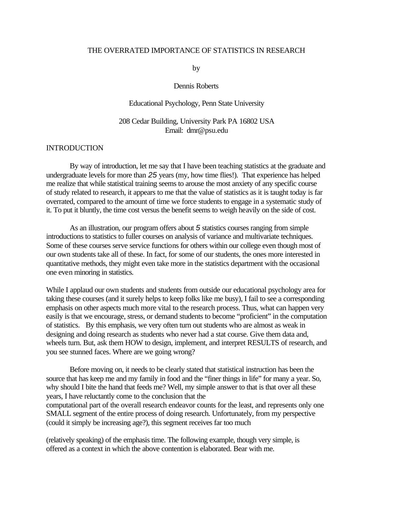### THE OVERRATED IMPORTANCE OF STATISTICS IN RESEARCH

by

#### Dennis Roberts

#### Educational Psychology, Penn State University

### 208 Cedar Building, University Park PA 16802 USA Email: dmr@psu.edu

## **INTRODUCTION**

By way of introduction, let me say that I have been teaching statistics at the graduate and undergraduate levels for more than *25* years (my, how time flies!). That experience has helped me realize that while statistical training seems to arouse the most anxiety of any specific course of study related to research, it appears to me that the value of statistics as it is taught today is far overrated, compared to the amount of time we force students to engage in a systematic study of it. To put it bluntly, the time cost versus the benefit seems to weigh heavily on the side of cost.

As an illustration, our program offers about *5* statistics courses ranging from simple introductions to statistics to fuller courses on analysis of variance and multivariate techniques. Some of these courses serve service functions for others within our college even though most of our own students take all of these. In fact, for some of our students, the ones more interested in quantitative methods, they might even take more in the statistics department with the occasional one even minoring in statistics.

While I applaud our own students and students from outside our educational psychology area for taking these courses (and it surely helps to keep folks like me busy), I fail to see a corresponding emphasis on other aspects much more vital to the research process. Thus, what can happen very easily is that we encourage, stress, or demand students to become "proficient" in the computation of statistics. By this emphasis, we very often turn out students who are almost as weak in designing and doing research as students who never had a stat course. Give them data and, wheels turn. But, ask them HOW to design, implement, and interpret RESULTS of research, and you see stunned faces. Where are we going wrong?

Before moving on, it needs to be clearly stated that statistical instruction has been the source that has keep me and my family in food and the "finer things in life" for many a year. So, why should I bite the hand that feeds me? Well, my simple answer to that is that over all these years, I have reluctantly come to the conclusion that the computational part of the overall research endeavor counts for the least, and represents only one SMALL segment of the entire process of doing research. Unfortunately, from my perspective (could it simply be increasing age?), this segment receives far too much

(relatively speaking) of the emphasis time. The following example, though very simple, is offered as a context in which the above contention is elaborated. Bear with me.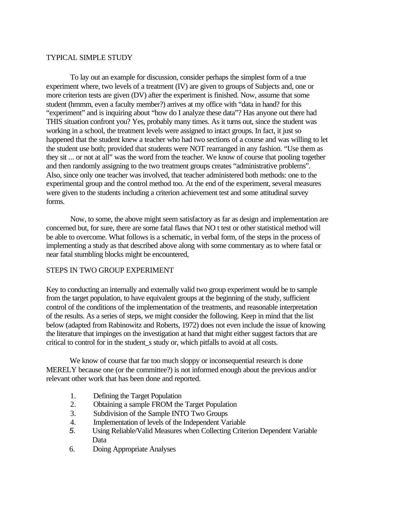### TYPICAL SIMPLE STUDY

To lay out an example for discussion, consider perhaps the simplest form of a true experiment where, two levels of a treatment (IV) are given to groups of Subjects and, one or more criterion tests are given (DV) after the experiment is finished. Now, assume that some student (hmmm, even a faculty member?) arrives at my office with "data in hand? for this "experiment" and is inquiring about "how do I analyze these data"? Has anyone out there had THIS situation confront you? Yes, probably many times. As it turns out, since the student was working in a school, the treatment levels were assigned to intact groups. In fact, it just so happened that the student knew a teacher who had two sections of a course and was willing to let the student use both; provided that students were NOT rearranged in any fashion. "Use them as they sit ... or not at all" was the word from the teacher. We know of course that pooling together and then randomly assigning to the two treatment groups creates "administrative problems". Also, since only one teacher was involved, that teacher administered both methods: one to the experimental group and the control method too. At the end of the experiment, several measures were given to the students including a criterion achievement test and some attitudinal survey forms.

Now, to some, the above might seem satisfactory as far as design and implementation are concerned but, for sure, there are some fatal flaws that NO t test or other statistical method will be able to overcome. What follows is a schematic, in verbal form, of the steps in the process of implementing a study as that described above along with some commentary as to where fatal or near fatal stumbling blocks might be encountered,

## STEPS IN TWO GROUP EXPERIMENT

Key to conducting an internally and externally valid two group experiment would be to sample from the target population, to have equivalent groups at the beginning of the study, sufficient control of the conditions of the implementation of the treatments, and reasonable interpretation of the results. As a series of steps, we might consider the following. Keep in mind that the list below (adapted from Rabinowitz and Roberts, 1972) does not even include the issue of knowing the literature that impinges on the investigation at hand that might either suggest factors that are critical to control for in the student\_s study or, which pitfalls to avoid at all costs.

We know of course that far too much sloppy or inconsequential research is done MERELY because one (or the committee?) is not informed enough about the previous and/or relevant other work that has been done and reported.

- 1. Defining the Target Population
- 2. Obtaining a sample FROM the Target Population
- 3. Subdivision of the Sample INTO Two Groups
- 4. Implementation of levels of the Independent Variable
- *5.* Using Reliable/Valid Measures when Collecting Criterion Dependent Variable Data
- 6. Doing Appropriate Analyses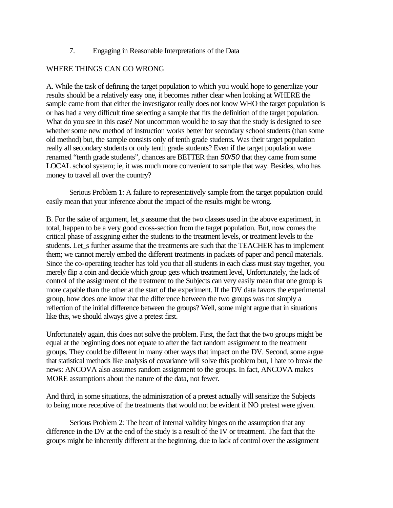# 7. Engaging in Reasonable Interpretations of the Data

# WHERE THINGS CAN GO WRONG

A. While the task of defining the target population to which you would hope to generalize your results should be a relatively easy one, it becomes rather clear when looking at WHERE the sample came from that either the investigator really does not know WHO the target population is or has had a very difficult time selecting a sample that fits the definition of the target population. What do you see in this case? Not uncommon would be to say that the study is designed to see whether some new method of instruction works better for secondary school students (than some old method) but, the sample consists only of tenth grade students. Was their target population really all secondary students or only tenth grade students? Even if the target population were renamed "tenth grade students", chances are BETTER than *50/50* that they came from some LOCAL school system; ie, it was much more convenient to sample that way. Besides, who has money to travel all over the country?

Serious Problem 1: A failure to representatively sample from the target population could easily mean that your inference about the impact of the results might be wrong.

B. For the sake of argument, let s assume that the two classes used in the above experiment, in total, happen to be a very good cross-section from the target population. But, now comes the critical phase of assigning either the students to the treatment levels, or treatment levels to the students. Let s further assume that the treatments are such that the TEACHER has to implement them; we cannot merely embed the different treatments in packets of paper and pencil materials. Since the co-operating teacher has told you that all students in each class must stay together, you merely flip a coin and decide which group gets which treatment level, Unfortunately, the lack of control of the assignment of the treatment to the Subjects can very easily mean that one group is more capable than the other at the start of the experiment. If the DV data favors the experimental group, how does one know that the difference between the two groups was not simply a reflection of the initial difference between the groups? Well, some might argue that in situations like this, we should always give a pretest first.

Unfortunately again, this does not solve the problem. First, the fact that the two groups might be equal at the beginning does not equate to after the fact random assignment to the treatment groups. They could be different in many other ways that impact on the DV. Second, some argue that statistical methods like analysis of covariance will solve this problem but, I hate to break the news: ANCOVA also assumes random assignment to the groups. In fact, ANCOVA makes MORE assumptions about the nature of the data, not fewer.

And third, in some situations, the administration of a pretest actually will sensitize the Subjects to being more receptive of the treatments that would not be evident if NO pretest were given.

Serious Problem 2: The heart of internal validity hinges on the assumption that any difference in the DV at the end of the study is a result of the IV or treatment. The fact that the groups might be inherently different at the beginning, due to lack of control over the assignment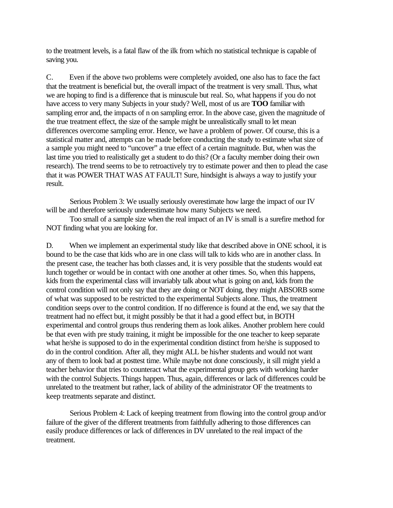to the treatment levels, is a fatal flaw of the ilk from which no statistical technique is capable of saving you.

C. Even if the above two problems were completely avoided, one also has to face the fact that the treatment is beneficial but, the overall impact of the treatment is very small. Thus, what we are hoping to find is a difference that is minuscule but real. So, what happens if you do not have access to very many Subjects in your study? Well, most of us are **TOO** familiar with sampling error and, the impacts of n on sampling error. In the above case, given the magnitude of the true treatment effect, the size of the sample might be unrealistically small to let mean differences overcome sampling error. Hence, we have a problem of power. Of course, this is a statistical matter and, attempts can be made before conducting the study to estimate what size of a sample you might need to "uncover" a true effect of a certain magnitude. But, when was the last time you tried to realistically get a student to do this? (Or a faculty member doing their own research). The trend seems to be to retroactively try to estimate power and then to plead the case that it was POWER THAT WAS AT FAULT! Sure, hindsight is always a way to justify your result.

Serious Problem 3: We usually seriously overestimate how large the impact of our IV will be and therefore seriously underestimate how many Subjects we need.

Too small of a sample size when the real impact of an IV is small is a surefire method for NOT finding what you are looking for.

D. When we implement an experimental study like that described above in ONE school, it is bound to be the case that kids who are in one class will talk to kids who are in another class. In the present case, the teacher has both classes and, it is very possible that the students would eat lunch together or would be in contact with one another at other times. So, when this happens, kids from the experimental class will invariably talk about what is going on and, kids from the control condition will not only say that they are doing or NOT doing, they might ABSORB some of what was supposed to be restricted to the experimental Subjects alone. Thus, the treatment condition seeps over to the control condition. If no difference is found at the end, we say that the treatment had no effect but, it might possibly be that it had a good effect but, in BOTH experimental and control groups thus rendering them as look alikes. Another problem here could be that even with pre study training, it might be impossible for the one teacher to keep separate what he/she is supposed to do in the experimental condition distinct from he/she is supposed to do in the control condition. After all, they might ALL be his/her students and would not want any of them to look bad at posttest time. While maybe not done consciously, it sill might yield a teacher behavior that tries to counteract what the experimental group gets with working harder with the control Subjects. Things happen. Thus, again, differences or lack of differences could be unrelated to the treatment but rather, lack of ability of the administrator OF the treatments to keep treatments separate and distinct.

Serious Problem 4: Lack of keeping treatment from flowing into the control group and/or failure of the giver of the different treatments from faithfully adhering to those differences can easily produce differences or lack of differences in DV unrelated to the real impact of the treatment.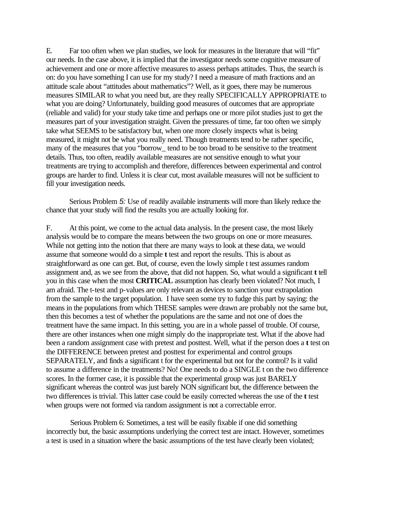E. Far too often when we plan studies, we look for measures in the literature that will "fit" our needs. In the case above, it is implied that the investigator needs some cognitive measure of achievement and one or more affective measures to assess perhaps attitudes. Thus, the search is on: do you have something I can use for my study? I need a measure of math fractions and an attitude scale about "attitudes about mathematics"? Well, as it goes, there may be numerous measures SIMILAR to what you need but, are they really SPECIFICALLY APPROPRIATE to what you are doing? Unfortunately, building good measures of outcomes that are appropriate (reliable and valid) for your study take time and perhaps one or more pilot studies just to get the measures part of your investigation straight. Given the pressures of time, far too often we simply take what SEEMS to be satisfactory but, when one more closely inspects what is being measured, it might not be what you really need. Though treatments tend to be rather specific, many of the measures that you "borrow\_ tend to be too broad to be sensitive to the treatment details. Thus, too often, readily available measures are not sensitive enough to what your treatments are trying to accomplish and therefore, differences between experimental and control groups are harder to find. Unless it is clear cut, most available measures will not be sufficient to fill your investigation needs.

Serious Problem *5:* Use of readily available instruments will more than likely reduce the chance that your study will find the results you are actually looking for.

F. At this point, we come to the actual data analysis. In the present case, the most likely analysis would be to compare the means between the two groups on one or more measures. While not getting into the notion that there are many ways to look at these data, we would assume that someone would do a simple **t** test and report the results. This is about as straightforward as one can get. But, of course, even the lowly simple t test assumes random assignment and, as we see from the above, that did not happen. So, what would a significant **t** tell you in this case when the most **CRITICAL** assumption has clearly been violated? Not much, I am afraid. The t-test and p-values are only relevant as devices to sanction your extrapolation from the sample to the target population. I have seen some try to fudge this part by saying: the means in the populations from which THESE samples were drawn are probably not the same but, then this becomes a test of whether the populations are the same and not one of does the treatment have the same impact. In this setting, you are in a whole passel of trouble. Of course, there are other instances when one might simply do the inappropriate test. What if the above had been a random assignment case with pretest and posttest. Well, what if the person does a **t** test on the DIFFERENCE between pretest and posttest for experimental and control groups SEPARATELY, and finds a significant t for the experimental but not for the control? Is it valid to assume a difference in the treatments? No! One needs to do a SINGLE t on the two difference scores. In the former case, it is possible that the experimental group was just BARELY significant whereas the control was just barely NON significant but, the difference between the two differences is trivial. This latter case could be easily corrected whereas the use of the **t** test when groups were not formed via random assignment is not a correctable error.

Serious Problem 6: Sometimes, a test will be easily fixable if one did something incorrectly but, the basic assumptions underlying the correct test are intact. However, sometimes a test is used in a situation where the basic assumptions of the test have clearly been violated;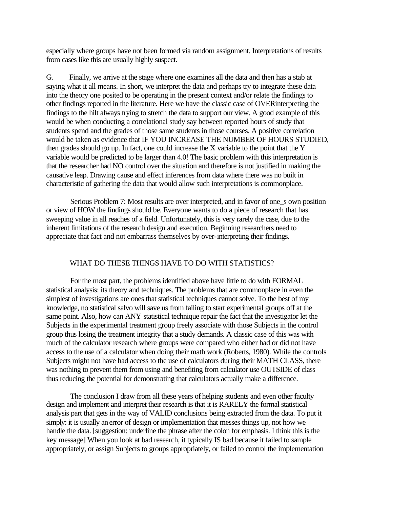especially where groups have not been formed via random assignment. Interpretations of results from cases like this are usually highly suspect.

G. Finally, we arrive at the stage where one examines all the data and then has a stab at saying what it all means. In short, we interpret the data and perhaps try to integrate these data into the theory one posited to be operating in the present context and/or relate the findings to other findings reported in the literature. Here we have the classic case of OVERinterpreting the findings to the hilt always trying to stretch the data to support our view. A good example of this would be when conducting a correlational study say between reported hours of study that students spend and the grades of those same students in those courses. A positive correlation would be taken as evidence that IF YOU INCREASE THE NUMBER OF HOURS STUDIED, then grades should go up. In fact, one could increase the X variable to the point that the Y variable would be predicted to be larger than 4.0! The basic problem with this interpretation is that the researcher had NO control over the situation and therefore is not justified in making the causative leap. Drawing cause and effect inferences from data where there was no built in characteristic of gathering the data that would allow such interpretations is commonplace.

Serious Problem 7: Most results are over interpreted, and in favor of one\_s own position or view of HOW the findings should be. Everyone wants to do a piece of research that has sweeping value in all reaches of a field. Unfortunately, this is very rarely the case, due to the inherent limitations of the research design and execution. Beginning researchers need to appreciate that fact and not embarrass themselves by over-interpreting their findings.

#### WHAT DO THESE THINGS HAVE TO DO WITH STATISTICS?

For the most part, the problems identified above have little to do with FORMAL statistical analysis: its theory and techniques. The problems that are commonplace in even the simplest of investigations are ones that statistical techniques cannot solve. To the best of my knowledge, no statistical salvo will save us from failing to start experimental groups off at the same point. Also, how can ANY statistical technique repair the fact that the investigator let the Subjects in the experimental treatment group freely associate with those Subjects in the control group thus losing the treatment integrity that a study demands. A classic case of this was with much of the calculator research where groups were compared who either had or did not have access to the use of a calculator when doing their math work (Roberts, 1980). While the controls Subjects might not have had access to the use of calculators during their MATH CLASS, there was nothing to prevent them from using and benefiting from calculator use OUTSIDE of class thus reducing the potential for demonstrating that calculators actually make a difference.

The conclusion I draw from all these years of helping students and even other faculty design and implement and interpret their research is that it is RARELY the formal statistical analysis part that gets in the way of VALID conclusions being extracted from the data. To put it simply: it is usually an error of design or implementation that messes things up, not how we handle the data. [suggestion: underline the phrase after the colon for emphasis. I think this is the key message] When you look at bad research, it typically IS bad because it failed to sample appropriately, or assign Subjects to groups appropriately, or failed to control the implementation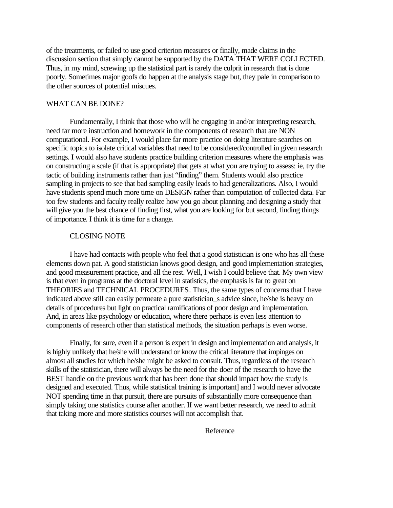of the treatments, or failed to use good criterion measures or finally, made claims in the discussion section that simply cannot be supported by the DATA THAT WERE COLLECTED. Thus, in my mind, screwing up the statistical part is rarely the culprit in research that is done poorly. Sometimes major goofs do happen at the analysis stage but, they pale in comparison to the other sources of potential miscues.

#### WHAT CAN BE DONE?

Fundamentally, I think that those who will be engaging in and/or interpreting research, need far more instruction and homework in the components of research that are NON computational. For example, I would place far more practice on doing literature searches on specific topics to isolate critical variables that need to be considered/controlled in given research settings. I would also have students practice building criterion measures where the emphasis was on constructing a scale (if that is appropriate) that gets at what you are trying to assess: ie, try the tactic of building instruments rather than just "finding" them. Students would also practice sampling in projects to see that bad sampling easily leads to bad generalizations. Also, I would have students spend much more time on DESIGN rather than computation of collected data. Far too few students and faculty really realize how you go about planning and designing a study that will give you the best chance of finding first, what you are looking for but second, finding things of importance. I think it is time for a change.

### CLOSING NOTE

I have had contacts with people who feel that a good statistician is one who has all these elements down pat. A good statistician knows good design, and good implementation strategies, and good measurement practice, and all the rest. Well, I wish I could believe that. My own view is that even in programs at the doctoral level in statistics, the emphasis is far to great on THEORIES and TECHNICAL PROCEDURES. Thus, the same types of concerns that I have indicated above still can easily permeate a pure statistician\_s advice since, he/she is heavy on details of procedures but light on practical ramifications of poor design and implementation. And, in areas like psychology or education, where there perhaps is even less attention to components of research other than statistical methods, the situation perhaps is even worse.

Finally, for sure, even if a person is expert in design and implementation and analysis, it is highly unlikely that he/she will understand or know the critical literature that impinges on almost all studies for which he/she might be asked to consult. Thus, regardless of the research skills of the statistician, there will always be the need for the doer of the research to have the BEST handle on the previous work that has been done that should impact how the study is designed and executed. Thus, while statistical training is important] and I would never advocate NOT spending time in that pursuit, there are pursuits of substantially more consequence than simply taking one statistics course after another. If we want better research, we need to admit that taking more and more statistics courses will not accomplish that.

Reference